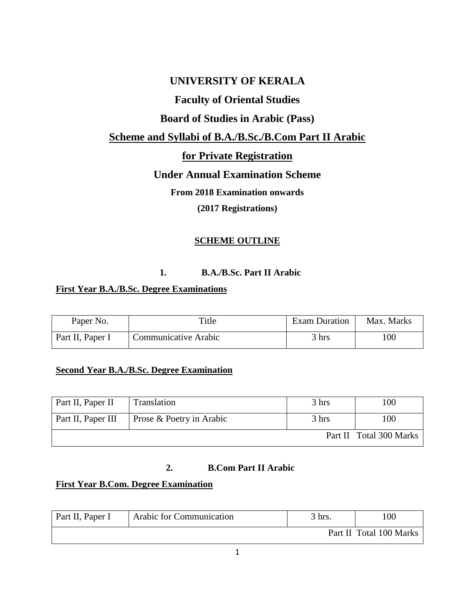# **UNIVERSITY OF KERALA**

# **Faculty of Oriental Studies**

# **Board of Studies in Arabic (Pass)**

## **Scheme and Syllabi of B.A./B.Sc./B.Com Part II Arabic**

# **for Private Registration**

# **Under Annual Examination Scheme**

**From 2018 Examination onwards** 

**(2017 Registrations)**

## **SCHEME OUTLINE**

## **1. B.A./B.Sc. Part II Arabic**

## **First Year B.A./B.Sc. Degree Examinations**

| Paper No.        | Title                       | Exam Duration   | Max. Marks |
|------------------|-----------------------------|-----------------|------------|
| Part II, Paper I | <b>Communicative Arabic</b> | $3 \text{ hrs}$ | 100        |

## **Second Year B.A./B.Sc. Degree Examination**

| Part II, Paper II         | Translation              | 3 hrs | 100                     |
|---------------------------|--------------------------|-------|-------------------------|
| <b>Part II, Paper III</b> | Prose & Poetry in Arabic | 3 hrs | 100                     |
|                           |                          |       | Part II Total 300 Marks |

## **2. B.Com Part II Arabic**

## **First Year B.Com. Degree Examination**

| Part II, Paper I | Arabic for Communication | 3 hrs. | 100                     |
|------------------|--------------------------|--------|-------------------------|
|                  |                          |        | Part II Total 100 Marks |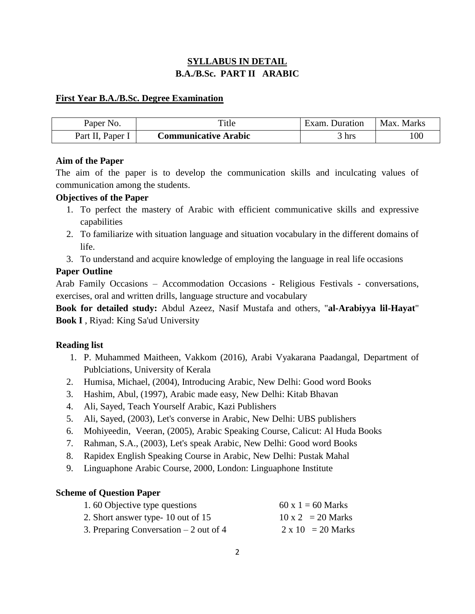## **SYLLABUS IN DETAIL B.A./B.Sc. PART II ARABIC**

### **First Year B.A./B.Sc. Degree Examination**

| Paper No.                      | Title                       | Exam. Duration | Max. Marks |
|--------------------------------|-----------------------------|----------------|------------|
| Paper <sub>1</sub><br>Part II, | <b>Communicative Arabic</b> | hrs            | 100        |

### **Aim of the Paper**

The aim of the paper is to develop the communication skills and inculcating values of communication among the students.

### **Objectives of the Paper**

- 1. To perfect the mastery of Arabic with efficient communicative skills and expressive capabilities
- 2. To familiarize with situation language and situation vocabulary in the different domains of life.
- 3. To understand and acquire knowledge of employing the language in real life occasions

## **Paper Outline**

Arab Family Occasions – Accommodation Occasions - Religious Festivals - conversations, exercises, oral and written drills, language structure and vocabulary

**Book for detailed study:** Abdul Azeez, Nasif Mustafa and others, "**al-Arabiyya lil-Hayat**" **Book I** , Riyad: King Sa'ud University

## **Reading list**

- 1. P. Muhammed Maitheen, Vakkom (2016), Arabi Vyakarana Paadangal, Department of Publciations, University of Kerala
- 2. Humisa, Michael, (2004), Introducing Arabic, New Delhi: Good word Books
- 3. Hashim, Abul, (1997), Arabic made easy, New Delhi: Kitab Bhavan
- 4. Ali, Sayed, Teach Yourself Arabic, Kazi Publishers
- 5. Ali, Sayed, (2003), Let's converse in Arabic, New Delhi: UBS publishers
- 6. Mohiyeedin, Veeran, (2005), Arabic Speaking Course, Calicut: Al Huda Books
- 7. Rahman, S.A., (2003), Let's speak Arabic, New Delhi: Good word Books
- 8. Rapidex English Speaking Course in Arabic, New Delhi: Pustak Mahal
- 9. Linguaphone Arabic Course, 2000, London: Linguaphone Institute

## **Scheme of Question Paper**

| 1.60 Objective type questions           | $60 \times 1 = 60$ Marks |
|-----------------------------------------|--------------------------|
| 2. Short answer type- 10 out of 15      | $10 \times 2 = 20$ Marks |
| 3. Preparing Conversation $-2$ out of 4 | $2 \times 10 = 20$ Marks |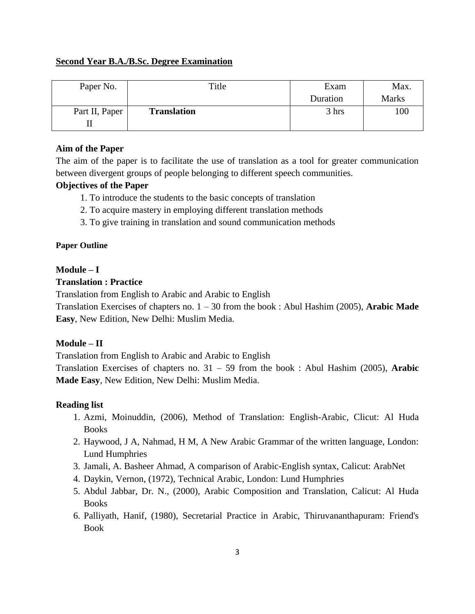#### **Second Year B.A./B.Sc. Degree Examination**

| Paper No.      | Title              | Exam     | Max.         |
|----------------|--------------------|----------|--------------|
|                |                    | Duration | <b>Marks</b> |
| Part II, Paper | <b>Translation</b> | 3 hrs    | 100          |
|                |                    |          |              |

#### **Aim of the Paper**

The aim of the paper is to facilitate the use of translation as a tool for greater communication between divergent groups of people belonging to different speech communities.

#### **Objectives of the Paper**

- 1. To introduce the students to the basic concepts of translation
- 2. To acquire mastery in employing different translation methods
- 3. To give training in translation and sound communication methods

#### **Paper Outline**

#### **Module – I**

#### **Translation : Practice**

Translation from English to Arabic and Arabic to English

Translation Exercises of chapters no. 1 – 30 from the book : Abul Hashim (2005), **Arabic Made Easy**, New Edition, New Delhi: Muslim Media.

#### **Module – II**

Translation from English to Arabic and Arabic to English

Translation Exercises of chapters no. 31 – 59 from the book : Abul Hashim (2005), **Arabic Made Easy**, New Edition, New Delhi: Muslim Media.

#### **Reading list**

- 1. Azmi, Moinuddin, (2006), Method of Translation: English-Arabic, Clicut: Al Huda Books
- 2. Haywood, J A, Nahmad, H M, A New Arabic Grammar of the written language, London: Lund Humphries
- 3. Jamali, A. Basheer Ahmad, A comparison of Arabic-English syntax, Calicut: ArabNet
- 4. Daykin, Vernon, (1972), Technical Arabic, London: Lund Humphries
- 5. Abdul Jabbar, Dr. N., (2000), Arabic Composition and Translation, Calicut: Al Huda Books
- 6. Palliyath, Hanif, (1980), Secretarial Practice in Arabic, Thiruvananthapuram: Friend's Book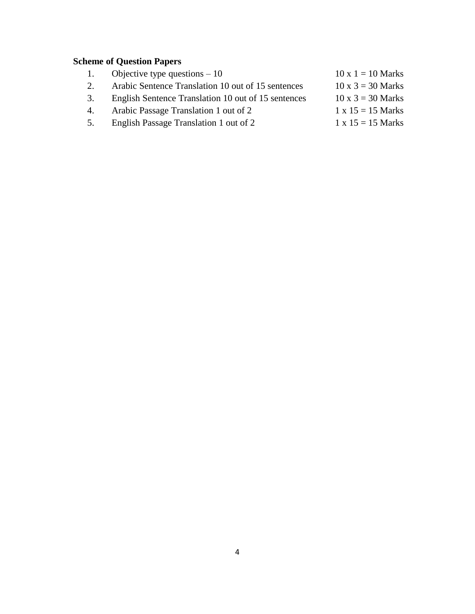# **Scheme of Question Papers**

- 1. Objective type questions 10 10 x 1 = 10 Marks
- 2. Arabic Sentence Translation 10 out of 15 sentences 10 x  $3 = 30$  Marks
- 3. English Sentence Translation 10 out of 15 sentences 10 x  $3 = 30$  Marks
- 4. Arabic Passage Translation 1 out of 2  $1 \times 15 = 15$  Marks
- 5. English Passage Translation 1 out of 2 1 x  $15 = 15$  Marks
- -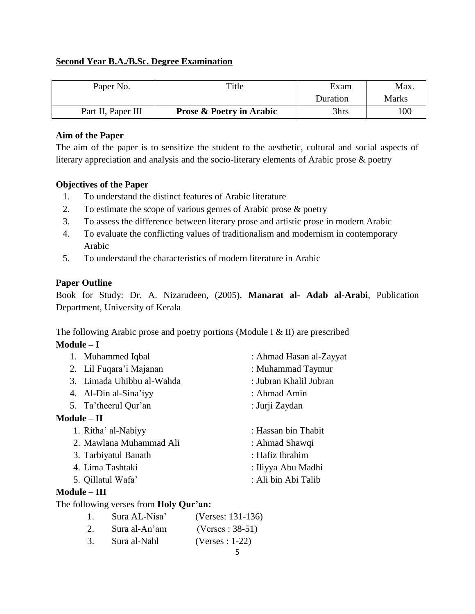## **Second Year B.A./B.Sc. Degree Examination**

| Paper No.          | Title                               | Exam     | Max.  |
|--------------------|-------------------------------------|----------|-------|
|                    |                                     | Duration | Marks |
| Part II, Paper III | <b>Prose &amp; Poetry in Arabic</b> | 3hrs     | 100   |

## **Aim of the Paper**

The aim of the paper is to sensitize the student to the aesthetic, cultural and social aspects of literary appreciation and analysis and the socio-literary elements of Arabic prose & poetry

### **Objectives of the Paper**

- 1. To understand the distinct features of Arabic literature
- 2. To estimate the scope of various genres of Arabic prose & poetry
- 3. To assess the difference between literary prose and artistic prose in modern Arabic
- 4. To evaluate the conflicting values of traditionalism and modernism in contemporary Arabic
- 5. To understand the characteristics of modern literature in Arabic

## **Paper Outline**

Book for Study: Dr. A. Nizarudeen, (2005), **Manarat al- Adab al-Arabi**, Publication Department, University of Kerala

The following Arabic prose and poetry portions (Module I & II) are prescribed

## **Module – I**

| 1. Muhammed Iqbal         | : Ahmad Hasan al-Zayyat |
|---------------------------|-------------------------|
| 2. Lil Fuqara'i Majanan   | : Muhammad Taymur       |
| 3. Limada Uhibbu al-Wahda | : Jubran Khalil Jubran  |
| 4. Al-Din al-Sina'iyy     | : Ahmad Amin            |
| 5. Ta'theerul Qur'an      | : Jurji Zaydan          |
| $Module - II$             |                         |
| 1. Ritha' al-Nabiyy       | : Hassan bin Thabit     |
| 2. Mawlana Muhammad Ali   | : Ahmad Shawqi          |
| 3. Tarbiyatul Banath      | : Hafiz Ibrahim         |
| 4. Lima Tashtaki          | : Iliyya Abu Madhi      |
| 5. Qillatul Wafa'         | : Ali bin Abi Talib     |

## **Module – III**

## The following verses from **Holy Qur'an:**

- 1. Sura AL-Nisa' (Verses: 131-136)
- 2. Sura al-An'am (Verses : 38-51)
- 3. Sura al-Nahl (Verses : 1-22)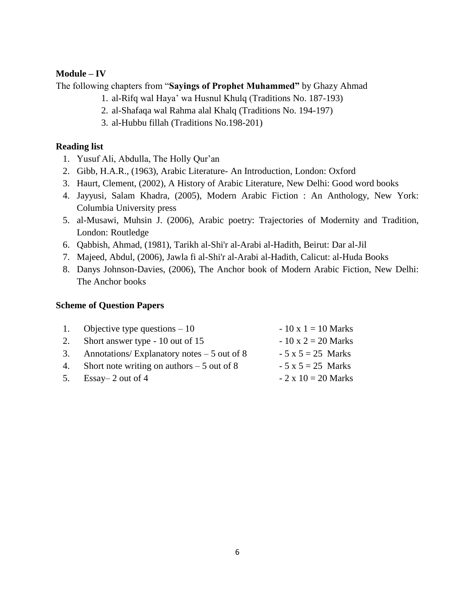#### **Module – IV**

The following chapters from "**Sayings of Prophet Muhammed"** by Ghazy Ahmad

- 1. al-Rifq wal Haya' wa Husnul Khulq (Traditions No. 187-193)
- 2. al-Shafaqa wal Rahma alal Khalq (Traditions No. 194-197)
- 3. al-Hubbu fillah (Traditions No.198-201)

#### **Reading list**

- 1. Yusuf Ali, Abdulla, The Holly Qur'an
- 2. Gibb, H.A.R., (1963), Arabic Literature- An Introduction, London: Oxford
- 3. Haurt, Clement, (2002), A History of Arabic Literature, New Delhi: Good word books
- 4. Jayyusi, Salam Khadra, (2005), Modern Arabic Fiction : An Anthology, New York: Columbia University press
- 5. al-Musawi, Muhsin J. (2006), Arabic poetry: Trajectories of Modernity and Tradition, London: Routledge
- 6. Qabbish, Ahmad, (1981), Tarikh al-Shi'r al-Arabi al-Hadith, Beirut: Dar al-Jil
- 7. Majeed, Abdul, (2006), Jawla fi al-Shi'r al-Arabi al-Hadith, Calicut: al-Huda Books
- 8. Danys Johnson-Davies, (2006), The Anchor book of Modern Arabic Fiction, New Delhi: The Anchor books

#### **Scheme of Question Papers**

| 1. Objective type questions $-10$              | $-10 \times 1 = 10$ Marks |
|------------------------------------------------|---------------------------|
| 2. Short answer type - 10 out of 15            | $-10 \times 2 = 20$ Marks |
| 3. Annotations/Explanatory notes $-5$ out of 8 | $-5x5 = 25$ Marks         |
| 4. Short note writing on authors $-5$ out of 8 | $-5x5 = 25$ Marks         |
| 5. Essay – 2 out of 4                          | $-2 \times 10 = 20$ Marks |